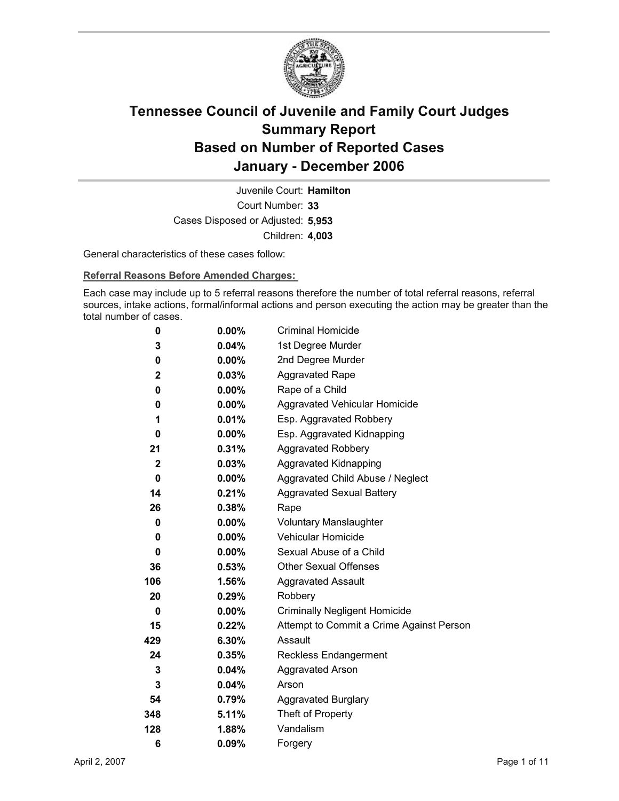

Court Number: **33** Juvenile Court: **Hamilton** Cases Disposed or Adjusted: **5,953** Children: **4,003**

General characteristics of these cases follow:

**Referral Reasons Before Amended Charges:** 

Each case may include up to 5 referral reasons therefore the number of total referral reasons, referral sources, intake actions, formal/informal actions and person executing the action may be greater than the total number of cases.

| 0            | $0.00\%$ | <b>Criminal Homicide</b>                 |
|--------------|----------|------------------------------------------|
| 3            | 0.04%    | 1st Degree Murder                        |
| 0            | $0.00\%$ | 2nd Degree Murder                        |
| 2            | 0.03%    | <b>Aggravated Rape</b>                   |
| 0            | $0.00\%$ | Rape of a Child                          |
| 0            | $0.00\%$ | Aggravated Vehicular Homicide            |
| 1            | 0.01%    | Esp. Aggravated Robbery                  |
| 0            | $0.00\%$ | Esp. Aggravated Kidnapping               |
| 21           | 0.31%    | <b>Aggravated Robbery</b>                |
| $\mathbf{2}$ | 0.03%    | Aggravated Kidnapping                    |
| 0            | $0.00\%$ | Aggravated Child Abuse / Neglect         |
| 14           | 0.21%    | <b>Aggravated Sexual Battery</b>         |
| 26           | 0.38%    | Rape                                     |
| 0            | $0.00\%$ | <b>Voluntary Manslaughter</b>            |
| 0            | $0.00\%$ | <b>Vehicular Homicide</b>                |
| 0            | $0.00\%$ | Sexual Abuse of a Child                  |
| 36           | 0.53%    | <b>Other Sexual Offenses</b>             |
| 106          | 1.56%    | <b>Aggravated Assault</b>                |
| 20           | 0.29%    | Robbery                                  |
| 0            | $0.00\%$ | <b>Criminally Negligent Homicide</b>     |
| 15           | 0.22%    | Attempt to Commit a Crime Against Person |
| 429          | 6.30%    | Assault                                  |
| 24           | 0.35%    | <b>Reckless Endangerment</b>             |
| 3            | 0.04%    | <b>Aggravated Arson</b>                  |
| 3            | $0.04\%$ | Arson                                    |
| 54           | 0.79%    | <b>Aggravated Burglary</b>               |
| 348          | 5.11%    | Theft of Property                        |
| 128          | 1.88%    | Vandalism                                |
| 6            | 0.09%    | Forgery                                  |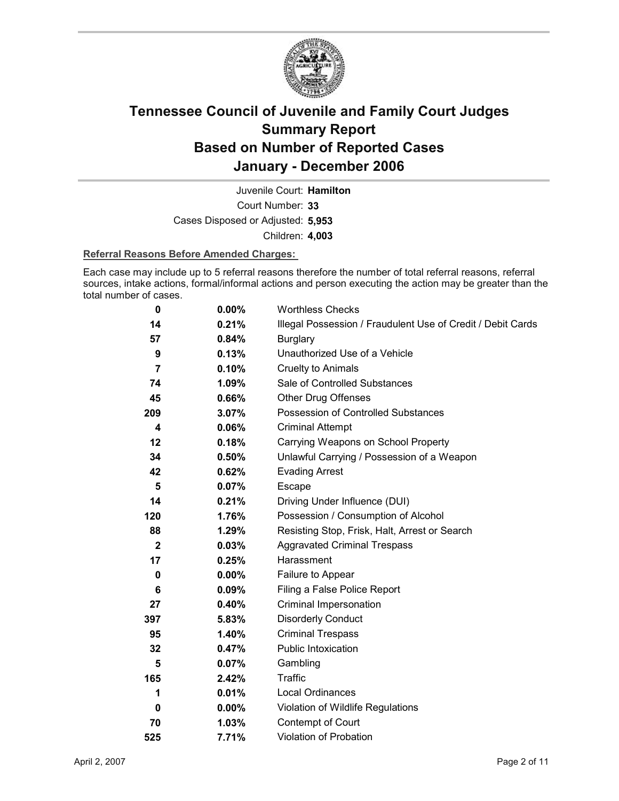

Court Number: **33** Juvenile Court: **Hamilton** Cases Disposed or Adjusted: **5,953** Children: **4,003**

### **Referral Reasons Before Amended Charges:**

Each case may include up to 5 referral reasons therefore the number of total referral reasons, referral sources, intake actions, formal/informal actions and person executing the action may be greater than the total number of cases.

| 0              | $0.00\%$ | <b>Worthless Checks</b>                                     |
|----------------|----------|-------------------------------------------------------------|
| 14             | 0.21%    | Illegal Possession / Fraudulent Use of Credit / Debit Cards |
| 57             | 0.84%    | <b>Burglary</b>                                             |
| 9              | 0.13%    | Unauthorized Use of a Vehicle                               |
| $\overline{7}$ | 0.10%    | <b>Cruelty to Animals</b>                                   |
| 74             | $1.09\%$ | Sale of Controlled Substances                               |
| 45             | 0.66%    | <b>Other Drug Offenses</b>                                  |
| 209            | 3.07%    | Possession of Controlled Substances                         |
| 4              | 0.06%    | <b>Criminal Attempt</b>                                     |
| 12             | 0.18%    | Carrying Weapons on School Property                         |
| 34             | 0.50%    | Unlawful Carrying / Possession of a Weapon                  |
| 42             | 0.62%    | <b>Evading Arrest</b>                                       |
| 5              | 0.07%    | Escape                                                      |
| 14             | 0.21%    | Driving Under Influence (DUI)                               |
| 120            | 1.76%    | Possession / Consumption of Alcohol                         |
| 88             | 1.29%    | Resisting Stop, Frisk, Halt, Arrest or Search               |
| $\mathbf{2}$   | 0.03%    | <b>Aggravated Criminal Trespass</b>                         |
| 17             | 0.25%    | Harassment                                                  |
| 0              | $0.00\%$ | Failure to Appear                                           |
| 6              | $0.09\%$ | Filing a False Police Report                                |
| 27             | 0.40%    | Criminal Impersonation                                      |
| 397            | 5.83%    | <b>Disorderly Conduct</b>                                   |
| 95             | 1.40%    | <b>Criminal Trespass</b>                                    |
| 32             | 0.47%    | <b>Public Intoxication</b>                                  |
| 5              | 0.07%    | Gambling                                                    |
| 165            | 2.42%    | Traffic                                                     |
| 1              | 0.01%    | Local Ordinances                                            |
| 0              | $0.00\%$ | Violation of Wildlife Regulations                           |
| 70             | 1.03%    | Contempt of Court                                           |
| 525            | 7.71%    | Violation of Probation                                      |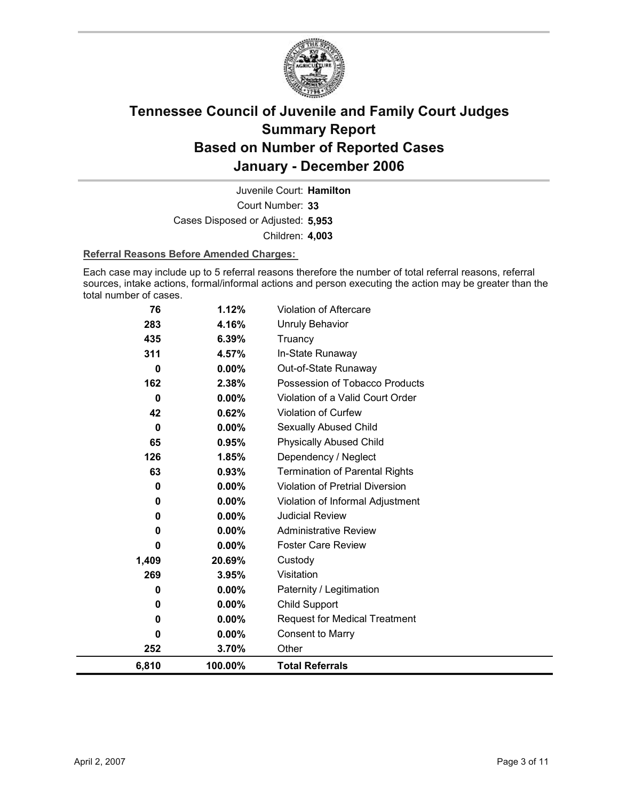

Court Number: **33** Juvenile Court: **Hamilton** Cases Disposed or Adjusted: **5,953** Children: **4,003**

### **Referral Reasons Before Amended Charges:**

Each case may include up to 5 referral reasons therefore the number of total referral reasons, referral sources, intake actions, formal/informal actions and person executing the action may be greater than the total number of cases.

| 76<br>283 | 1.12%<br>4.16% | <b>Violation of Aftercare</b><br><b>Unruly Behavior</b> |
|-----------|----------------|---------------------------------------------------------|
| 435       |                |                                                         |
|           | 6.39%          | Truancy                                                 |
| 311       | 4.57%          | In-State Runaway                                        |
| 0         | $0.00\%$       | Out-of-State Runaway                                    |
| 162       | 2.38%          | Possession of Tobacco Products                          |
| 0         | $0.00\%$       | Violation of a Valid Court Order                        |
| 42        | 0.62%          | Violation of Curfew                                     |
| 0         | 0.00%          | <b>Sexually Abused Child</b>                            |
| 65        | 0.95%          | <b>Physically Abused Child</b>                          |
| 126       | 1.85%          | Dependency / Neglect                                    |
| 63        | 0.93%          | <b>Termination of Parental Rights</b>                   |
| 0         | 0.00%          | <b>Violation of Pretrial Diversion</b>                  |
| 0         | 0.00%          | Violation of Informal Adjustment                        |
| 0         | $0.00\%$       | <b>Judicial Review</b>                                  |
| 0         | 0.00%          | <b>Administrative Review</b>                            |
| 0         | 0.00%          | <b>Foster Care Review</b>                               |
| 1,409     | 20.69%         | Custody                                                 |
| 269       | 3.95%          | Visitation                                              |
| 0         | $0.00\%$       | Paternity / Legitimation                                |
| 0         | 0.00%          | <b>Child Support</b>                                    |
| 0         | $0.00\%$       | <b>Request for Medical Treatment</b>                    |
| 0         | $0.00\%$       | <b>Consent to Marry</b>                                 |
| 252       | 3.70%          | Other                                                   |
| 6,810     | 100.00%        | <b>Total Referrals</b>                                  |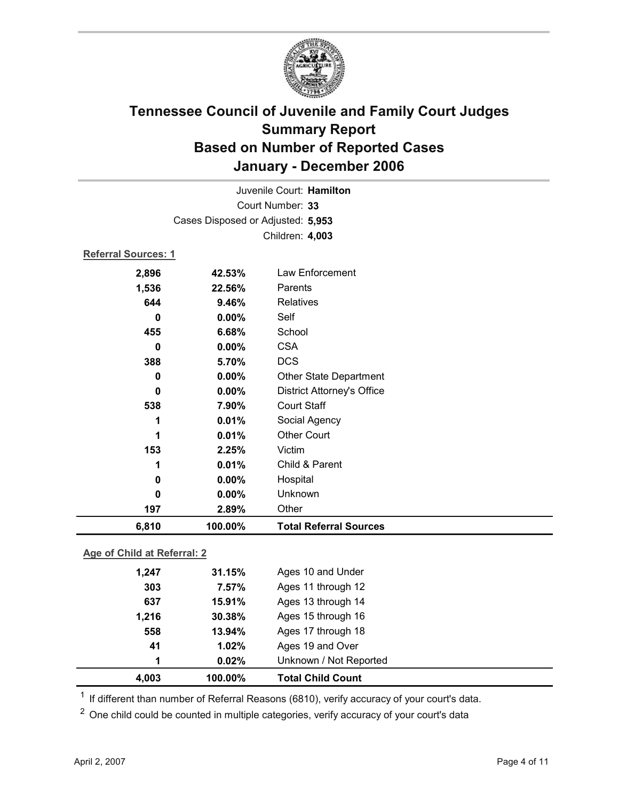

| Juvenile Court: Hamilton    |                                   |                                   |  |  |  |
|-----------------------------|-----------------------------------|-----------------------------------|--|--|--|
| Court Number: 33            |                                   |                                   |  |  |  |
|                             | Cases Disposed or Adjusted: 5,953 |                                   |  |  |  |
|                             |                                   | Children: 4,003                   |  |  |  |
| <b>Referral Sources: 1</b>  |                                   |                                   |  |  |  |
| 2,896                       | 42.53%                            | Law Enforcement                   |  |  |  |
| 1,536                       | 22.56%                            | Parents                           |  |  |  |
| 644                         | 9.46%                             | <b>Relatives</b>                  |  |  |  |
| 0                           | 0.00%                             | Self                              |  |  |  |
| 455                         | 6.68%                             | School                            |  |  |  |
| 0                           | 0.00%                             | <b>CSA</b>                        |  |  |  |
| 388                         | 5.70%                             | <b>DCS</b>                        |  |  |  |
| 0                           | 0.00%                             | <b>Other State Department</b>     |  |  |  |
| $\bf{0}$                    | 0.00%                             | <b>District Attorney's Office</b> |  |  |  |
| 538                         | 7.90%                             | <b>Court Staff</b>                |  |  |  |
| 1                           | 0.01%                             | Social Agency                     |  |  |  |
| 1                           | 0.01%                             | <b>Other Court</b>                |  |  |  |
| 153                         | 2.25%                             | Victim                            |  |  |  |
| 1                           | 0.01%                             | Child & Parent                    |  |  |  |
| 0                           | 0.00%                             | Hospital                          |  |  |  |
| $\bf{0}$                    | 0.00%                             | Unknown                           |  |  |  |
| 197                         | 2.89%                             | Other                             |  |  |  |
| 6,810                       | 100.00%                           | <b>Total Referral Sources</b>     |  |  |  |
| Age of Child at Referral: 2 |                                   |                                   |  |  |  |

| 4,003 | 100.00% | <b>Total Child Count</b> |  |
|-------|---------|--------------------------|--|
| 1     | 0.02%   | Unknown / Not Reported   |  |
| 41    | 1.02%   | Ages 19 and Over         |  |
| 558   | 13.94%  | Ages 17 through 18       |  |
| 1.216 | 30.38%  | Ages 15 through 16       |  |
| 637   | 15.91%  | Ages 13 through 14       |  |
| 303   | 7.57%   | Ages 11 through 12       |  |
| 1,247 | 31.15%  | Ages 10 and Under        |  |
|       |         |                          |  |

 $1$  If different than number of Referral Reasons (6810), verify accuracy of your court's data.

<sup>2</sup> One child could be counted in multiple categories, verify accuracy of your court's data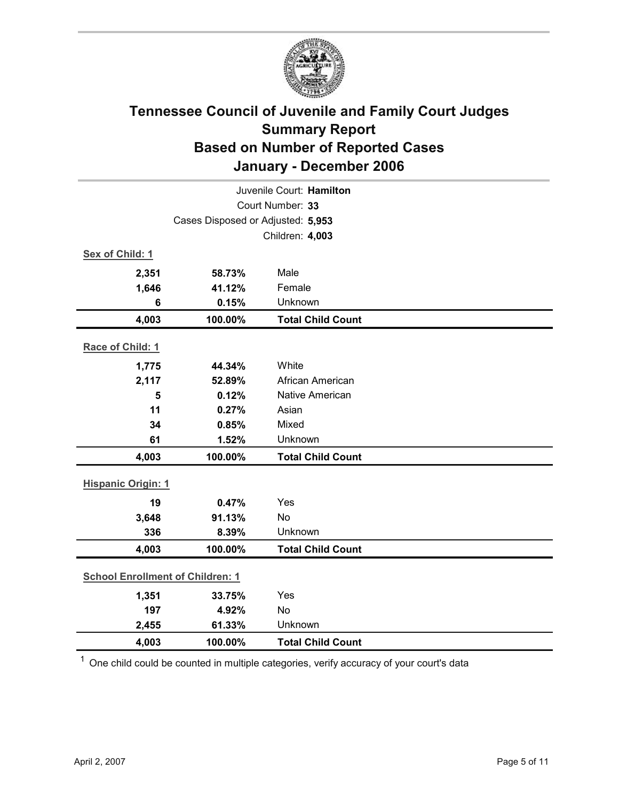

| Juvenile Court: Hamilton                |                                   |                          |  |  |
|-----------------------------------------|-----------------------------------|--------------------------|--|--|
| Court Number: 33                        |                                   |                          |  |  |
|                                         | Cases Disposed or Adjusted: 5,953 |                          |  |  |
|                                         |                                   | Children: 4,003          |  |  |
| Sex of Child: 1                         |                                   |                          |  |  |
| 2,351                                   | 58.73%                            | Male                     |  |  |
| 1,646                                   | 41.12%                            | Female                   |  |  |
| $6\phantom{1}6$                         | 0.15%                             | Unknown                  |  |  |
| 4,003                                   | 100.00%                           | <b>Total Child Count</b> |  |  |
| Race of Child: 1                        |                                   |                          |  |  |
| 1,775                                   | 44.34%                            | White                    |  |  |
| 2,117                                   | 52.89%                            | African American         |  |  |
| 5                                       | 0.12%                             | Native American          |  |  |
| 11                                      | 0.27%                             | Asian                    |  |  |
| 34                                      | 0.85%                             | Mixed                    |  |  |
| 61                                      | 1.52%                             | Unknown                  |  |  |
| 4,003                                   | 100.00%                           | <b>Total Child Count</b> |  |  |
| <b>Hispanic Origin: 1</b>               |                                   |                          |  |  |
| 19                                      | 0.47%                             | Yes                      |  |  |
| 3,648                                   | 91.13%                            | No                       |  |  |
| 336                                     | 8.39%                             | Unknown                  |  |  |
| 4,003                                   | 100.00%                           | <b>Total Child Count</b> |  |  |
| <b>School Enrollment of Children: 1</b> |                                   |                          |  |  |
| 1,351                                   | 33.75%                            | Yes                      |  |  |
| 197                                     | 4.92%                             | <b>No</b>                |  |  |
| 2,455                                   | 61.33%                            | Unknown                  |  |  |
| 4,003                                   | 100.00%                           | <b>Total Child Count</b> |  |  |

 $1$  One child could be counted in multiple categories, verify accuracy of your court's data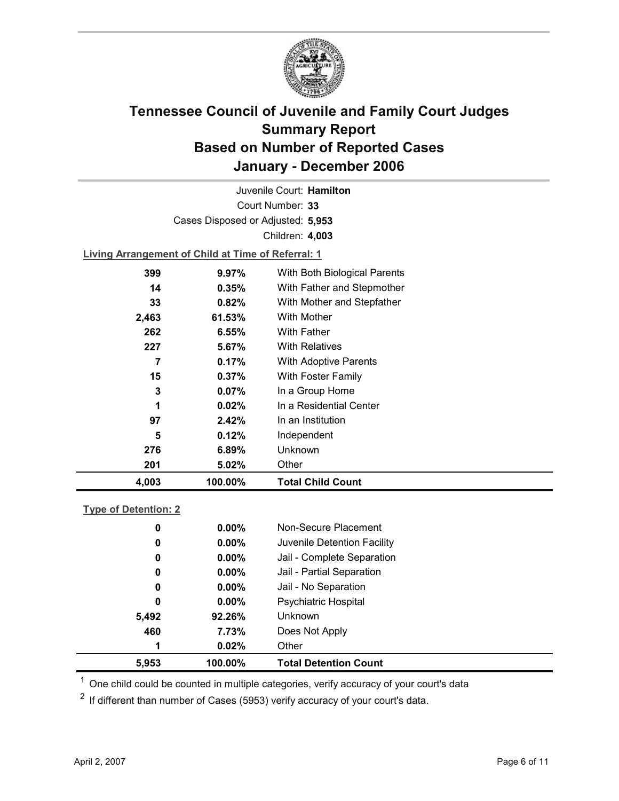

Court Number: **33** Juvenile Court: **Hamilton** Cases Disposed or Adjusted: **5,953** Children: **4,003**

**Living Arrangement of Child at Time of Referral: 1**

| 4,003 | 100.00%  | <b>Total Child Count</b>     |
|-------|----------|------------------------------|
| 201   | 5.02%    | Other                        |
| 276   | 6.89%    | Unknown                      |
| 5     | 0.12%    | Independent                  |
| 97    | 2.42%    | In an Institution            |
| 1     | 0.02%    | In a Residential Center      |
| 3     | $0.07\%$ | In a Group Home              |
| 15    | $0.37\%$ | With Foster Family           |
| 7     | $0.17\%$ | <b>With Adoptive Parents</b> |
| 227   | 5.67%    | <b>With Relatives</b>        |
| 262   | 6.55%    | <b>With Father</b>           |
| 2,463 | 61.53%   | With Mother                  |
| 33    | 0.82%    | With Mother and Stepfather   |
| 14    | $0.35\%$ | With Father and Stepmother   |
| 399   | 9.97%    | With Both Biological Parents |
|       |          |                              |

### **Type of Detention: 2**

| 5,953 | 100.00%  | <b>Total Detention Count</b> |
|-------|----------|------------------------------|
| 1     | 0.02%    | Other                        |
| 460   | 7.73%    | Does Not Apply               |
| 5,492 | 92.26%   | <b>Unknown</b>               |
| 0     | $0.00\%$ | Psychiatric Hospital         |
| 0     | $0.00\%$ | Jail - No Separation         |
| 0     | $0.00\%$ | Jail - Partial Separation    |
| 0     | $0.00\%$ | Jail - Complete Separation   |
| 0     | $0.00\%$ | Juvenile Detention Facility  |
| 0     | $0.00\%$ | Non-Secure Placement         |
|       |          |                              |

 $<sup>1</sup>$  One child could be counted in multiple categories, verify accuracy of your court's data</sup>

 $2$  If different than number of Cases (5953) verify accuracy of your court's data.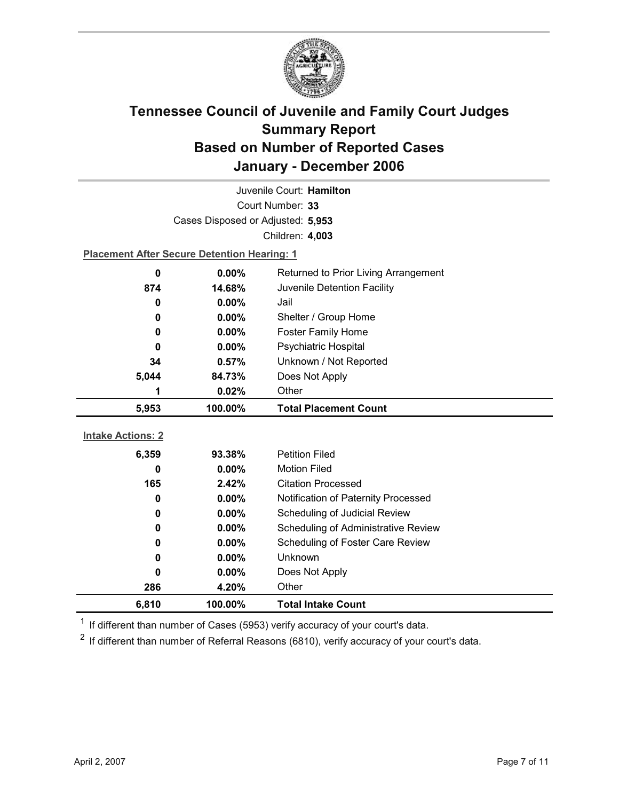

| Juvenile Court: Hamilton |                                                    |                                      |  |  |
|--------------------------|----------------------------------------------------|--------------------------------------|--|--|
| Court Number: 33         |                                                    |                                      |  |  |
|                          | Cases Disposed or Adjusted: 5,953                  |                                      |  |  |
|                          |                                                    | Children: 4,003                      |  |  |
|                          | <b>Placement After Secure Detention Hearing: 1</b> |                                      |  |  |
| 0                        | 0.00%                                              | Returned to Prior Living Arrangement |  |  |
| 874                      | 14.68%                                             | Juvenile Detention Facility          |  |  |
| 0                        | $0.00\%$                                           | Jail                                 |  |  |
| 0                        | 0.00%                                              | Shelter / Group Home                 |  |  |
| 0                        | 0.00%                                              | Foster Family Home                   |  |  |
| 0                        | $0.00\%$                                           | <b>Psychiatric Hospital</b>          |  |  |
| 34                       | 0.57%                                              | Unknown / Not Reported               |  |  |
| 5,044                    | 84.73%                                             | Does Not Apply                       |  |  |
| 1                        | 0.02%                                              | Other                                |  |  |
|                          |                                                    |                                      |  |  |
| 5,953                    | 100.00%                                            | <b>Total Placement Count</b>         |  |  |
|                          |                                                    |                                      |  |  |
| <b>Intake Actions: 2</b> |                                                    |                                      |  |  |
| 6,359                    | 93.38%                                             | <b>Petition Filed</b>                |  |  |
| 0                        | $0.00\%$                                           | <b>Motion Filed</b>                  |  |  |
| 165                      | 2.42%                                              | <b>Citation Processed</b>            |  |  |
| 0                        | 0.00%                                              | Notification of Paternity Processed  |  |  |
| 0                        | 0.00%                                              | Scheduling of Judicial Review        |  |  |
| 0                        | 0.00%                                              | Scheduling of Administrative Review  |  |  |
| 0                        | 0.00%                                              | Scheduling of Foster Care Review     |  |  |
| 0                        | 0.00%                                              | Unknown                              |  |  |
| 0                        | $0.00\%$                                           | Does Not Apply                       |  |  |
| 286                      | 4.20%                                              | Other                                |  |  |

 $1$  If different than number of Cases (5953) verify accuracy of your court's data.

 $2$  If different than number of Referral Reasons (6810), verify accuracy of your court's data.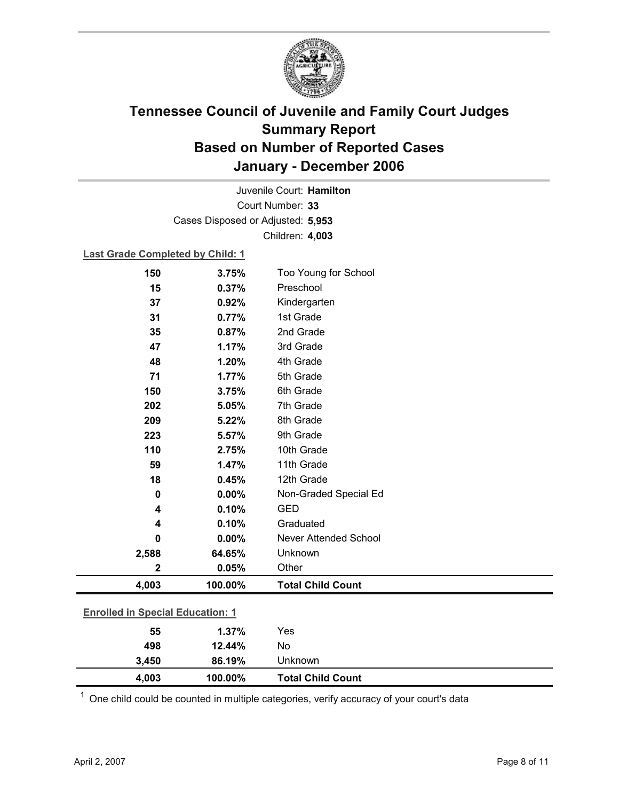

Court Number: **33** Juvenile Court: **Hamilton** Cases Disposed or Adjusted: **5,953** Children: **4,003**

### **Last Grade Completed by Child: 1**

| 150                                     | 3.75%   | Too Young for School         |
|-----------------------------------------|---------|------------------------------|
| 15                                      | 0.37%   | Preschool                    |
| 37                                      | 0.92%   | Kindergarten                 |
| 31                                      | 0.77%   | 1st Grade                    |
| 35                                      | 0.87%   | 2nd Grade                    |
| 47                                      | 1.17%   | 3rd Grade                    |
| 48                                      | 1.20%   | 4th Grade                    |
| 71                                      | 1.77%   | 5th Grade                    |
| 150                                     | 3.75%   | 6th Grade                    |
| 202                                     | 5.05%   | 7th Grade                    |
| 209                                     | 5.22%   | 8th Grade                    |
| 223                                     | 5.57%   | 9th Grade                    |
| 110                                     | 2.75%   | 10th Grade                   |
| 59                                      | 1.47%   | 11th Grade                   |
| 18                                      | 0.45%   | 12th Grade                   |
| 0                                       | 0.00%   | Non-Graded Special Ed        |
| 4                                       | 0.10%   | <b>GED</b>                   |
| 4                                       | 0.10%   | Graduated                    |
| 0                                       | 0.00%   | <b>Never Attended School</b> |
| 2,588                                   | 64.65%  | Unknown                      |
| $\mathbf 2$                             | 0.05%   | Other                        |
| 4,003                                   | 100.00% | <b>Total Child Count</b>     |
| <b>Enrolled in Special Education: 1</b> |         |                              |
| 55                                      | 1.37%   | Yes                          |
| 498                                     | 12.44%  | No                           |
| 3,450                                   | 86.19%  | Unknown                      |

 $1$  One child could be counted in multiple categories, verify accuracy of your court's data

**4,003 100.00% Total Child Count**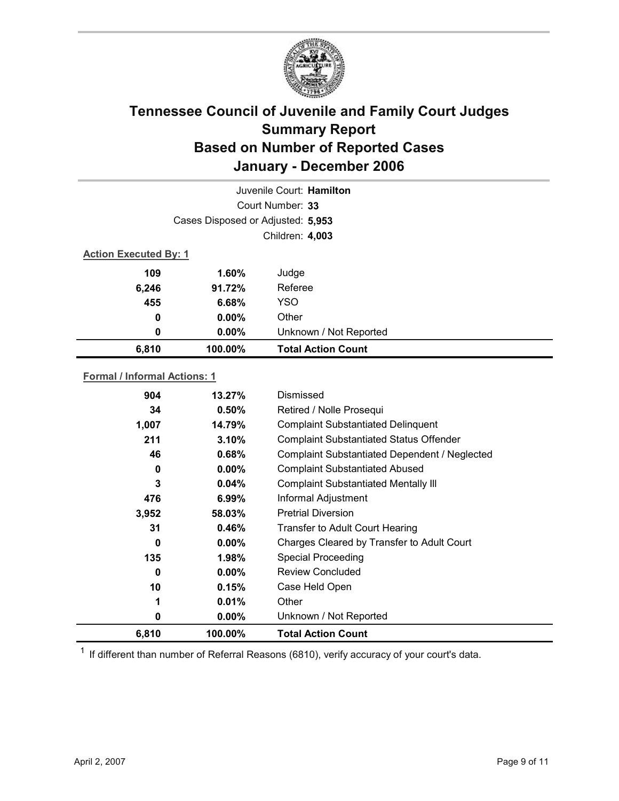

| Juvenile Court: Hamilton     |                                   |                           |  |
|------------------------------|-----------------------------------|---------------------------|--|
|                              |                                   | Court Number: 33          |  |
|                              | Cases Disposed or Adjusted: 5,953 |                           |  |
|                              |                                   | Children: 4,003           |  |
| <b>Action Executed By: 1</b> |                                   |                           |  |
| 109                          | 1.60%                             | Judge                     |  |
| 6,246                        | 91.72%                            | Referee                   |  |
| 455                          | 6.68%                             | <b>YSO</b>                |  |
| $\bf{0}$                     | $0.00\%$                          | Other                     |  |
| 0                            | $0.00\%$                          | Unknown / Not Reported    |  |
| 6,810                        | 100.00%                           | <b>Total Action Count</b> |  |
|                              |                                   |                           |  |

### **Formal / Informal Actions: 1**

| 6,810 | 100.00%  | <b>Total Action Count</b>                      |
|-------|----------|------------------------------------------------|
| 0     | $0.00\%$ | Unknown / Not Reported                         |
| 1     | 0.01%    | Other                                          |
| 10    | 0.15%    | Case Held Open                                 |
| 0     | $0.00\%$ | <b>Review Concluded</b>                        |
| 135   | 1.98%    | <b>Special Proceeding</b>                      |
| 0     | $0.00\%$ | Charges Cleared by Transfer to Adult Court     |
| 31    | 0.46%    | <b>Transfer to Adult Court Hearing</b>         |
| 3,952 | 58.03%   | <b>Pretrial Diversion</b>                      |
| 476   | $6.99\%$ | Informal Adjustment                            |
| 3     | 0.04%    | <b>Complaint Substantiated Mentally III</b>    |
| 0     | $0.00\%$ | <b>Complaint Substantiated Abused</b>          |
| 46    | 0.68%    | Complaint Substantiated Dependent / Neglected  |
| 211   | 3.10%    | <b>Complaint Substantiated Status Offender</b> |
| 1,007 | 14.79%   | <b>Complaint Substantiated Delinquent</b>      |
| 34    | 0.50%    | Retired / Nolle Prosequi                       |
| 904   | 13.27%   | Dismissed                                      |
|       |          |                                                |

 $1$  If different than number of Referral Reasons (6810), verify accuracy of your court's data.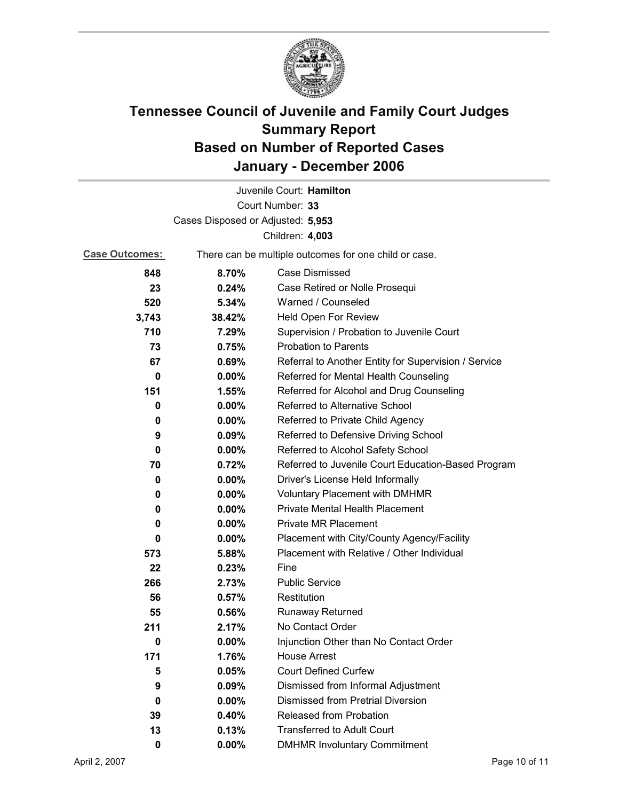

|                                   |                                                       | Juvenile Court: Hamilton                             |
|-----------------------------------|-------------------------------------------------------|------------------------------------------------------|
|                                   |                                                       | Court Number: 33                                     |
| Cases Disposed or Adjusted: 5,953 |                                                       |                                                      |
|                                   |                                                       | Children: 4,003                                      |
| <b>Case Outcomes:</b>             | There can be multiple outcomes for one child or case. |                                                      |
| 848                               | 8.70%                                                 | Case Dismissed                                       |
| 23                                | 0.24%                                                 | Case Retired or Nolle Prosequi                       |
| 520                               | 5.34%                                                 | Warned / Counseled                                   |
| 3,743                             | 38.42%                                                | Held Open For Review                                 |
| 710                               | 7.29%                                                 | Supervision / Probation to Juvenile Court            |
| 73                                | 0.75%                                                 | <b>Probation to Parents</b>                          |
| 67                                | 0.69%                                                 | Referral to Another Entity for Supervision / Service |
| 0                                 | 0.00%                                                 | Referred for Mental Health Counseling                |
| 151                               | 1.55%                                                 | Referred for Alcohol and Drug Counseling             |
| 0                                 | 0.00%                                                 | Referred to Alternative School                       |
| 0                                 | $0.00\%$                                              | Referred to Private Child Agency                     |
| 9                                 | 0.09%                                                 | Referred to Defensive Driving School                 |
| 0                                 | $0.00\%$                                              | Referred to Alcohol Safety School                    |
| 70                                | 0.72%                                                 | Referred to Juvenile Court Education-Based Program   |
| 0                                 | $0.00\%$                                              | Driver's License Held Informally                     |
| 0                                 | $0.00\%$                                              | <b>Voluntary Placement with DMHMR</b>                |
| 0                                 | $0.00\%$                                              | <b>Private Mental Health Placement</b>               |
| 0                                 | $0.00\%$                                              | <b>Private MR Placement</b>                          |
| 0                                 | $0.00\%$                                              | Placement with City/County Agency/Facility           |
| 573                               | 5.88%                                                 | Placement with Relative / Other Individual           |
| 22                                | 0.23%                                                 | Fine                                                 |
| 266                               | 2.73%                                                 | <b>Public Service</b>                                |
| 56                                | 0.57%                                                 | Restitution                                          |
| 55                                | 0.56%                                                 | <b>Runaway Returned</b>                              |
| 211                               | 2.17%                                                 | No Contact Order                                     |
| 0                                 | 0.00%                                                 | Injunction Other than No Contact Order               |
| 171                               | 1.76%                                                 | <b>House Arrest</b>                                  |
| 5                                 | 0.05%                                                 | <b>Court Defined Curfew</b>                          |
| 9                                 | 0.09%                                                 | Dismissed from Informal Adjustment                   |
| 0                                 | $0.00\%$                                              | <b>Dismissed from Pretrial Diversion</b>             |
| 39                                | 0.40%                                                 | Released from Probation                              |
| 13                                | 0.13%                                                 | <b>Transferred to Adult Court</b>                    |
| $\mathbf 0$                       | $0.00\%$                                              | <b>DMHMR Involuntary Commitment</b>                  |